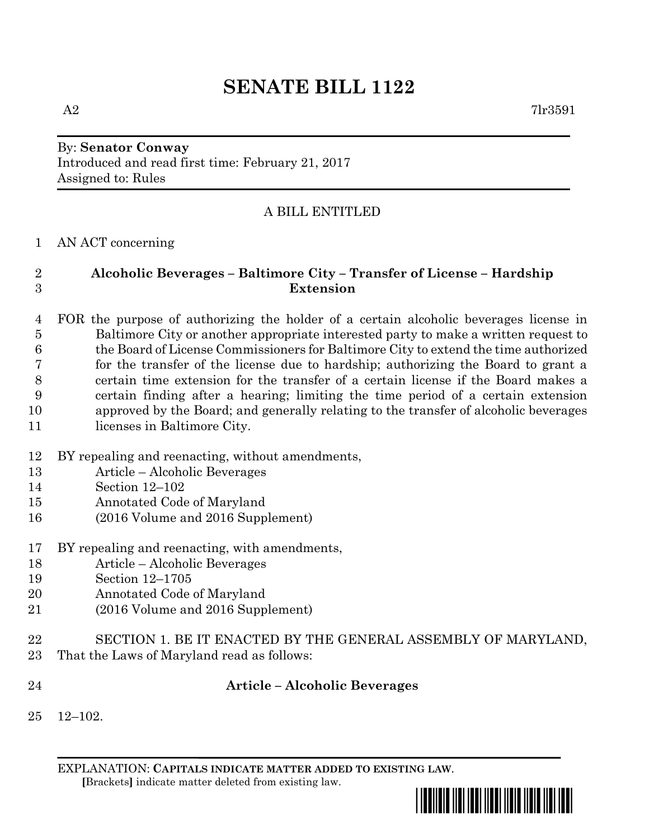# **SENATE BILL 1122**

## By: **Senator Conway** Introduced and read first time: February 21, 2017 Assigned to: Rules

## A BILL ENTITLED

#### AN ACT concerning

## **Alcoholic Beverages – Baltimore City – Transfer of License – Hardship Extension**

 FOR the purpose of authorizing the holder of a certain alcoholic beverages license in Baltimore City or another appropriate interested party to make a written request to the Board of License Commissioners for Baltimore City to extend the time authorized for the transfer of the license due to hardship; authorizing the Board to grant a certain time extension for the transfer of a certain license if the Board makes a certain finding after a hearing; limiting the time period of a certain extension approved by the Board; and generally relating to the transfer of alcoholic beverages 11 licenses in Baltimore City.

- BY repealing and reenacting, without amendments,
- Article Alcoholic Beverages
- Section 12–102
- Annotated Code of Maryland
- (2016 Volume and 2016 Supplement)
- BY repealing and reenacting, with amendments,
- Article Alcoholic Beverages
- Section 12–1705
- Annotated Code of Maryland
- (2016 Volume and 2016 Supplement)
- SECTION 1. BE IT ENACTED BY THE GENERAL ASSEMBLY OF MARYLAND,
- That the Laws of Maryland read as follows:
- 

#### **Article – Alcoholic Beverages**

12–102.

EXPLANATION: **CAPITALS INDICATE MATTER ADDED TO EXISTING LAW**.  **[**Brackets**]** indicate matter deleted from existing law.